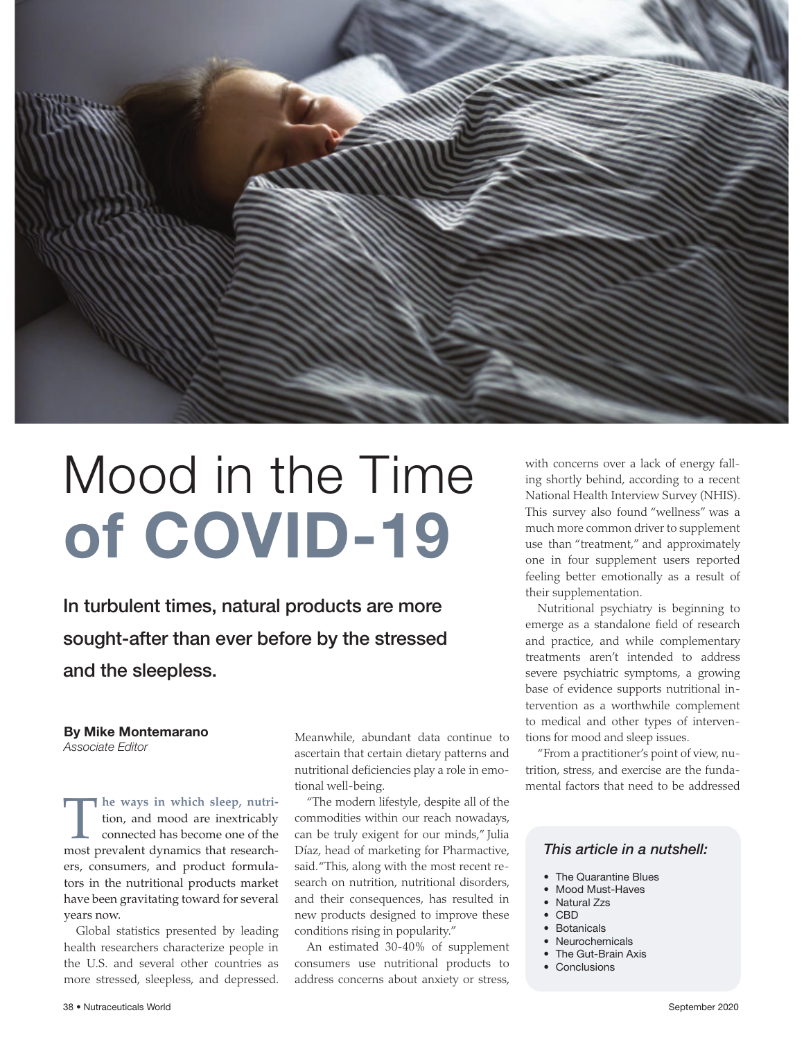

# Mood in the Time of COVID-19

In turbulent times, natural products are more sought-after than ever before by the stressed and the sleepless.

#### By Mike Montemarano *Associate Editor*

**The ways in which sleep, nutri**tion, and mood are inextricably connected has become one of the most prevalent dynamics that researchers, consumers, and product formulators in the nutritional products market have been gravitating toward for several years now.

Global statistics presented by leading health researchers characterize people in the U.S. and several other countries as more stressed, sleepless, and depressed. Meanwhile, abundant data continue to ascertain that certain dietary patterns and nutritional deficiencies play a role in emotional well-being.

"The modern lifestyle, despite all of the commodities within our reach nowadays, can be truly exigent for our minds," Julia Díaz, head of marketing for Pharmactive, said. "This, along with the most recent research on nutrition, nutritional disorders, and their consequences, has resulted in new products designed to improve these conditions rising in popularity."

An estimated 30-40% of supplement consumers use nutritional products to address concerns about anxiety or stress,

with concerns over a lack of energy falling shortly behind, according to a recent National Health Interview Survey (NHIS). This survey also found "wellness" was a much more common driver to supplement use than "treatment," and approximately one in four supplement users reported feeling better emotionally as a result of their supplementation.

Nutritional psychiatry is beginning to emerge as a standalone field of research and practice, and while complementary treatments aren't intended to address severe psychiatric symptoms, a growing base of evidence supports nutritional intervention as a worthwhile complement to medical and other types of interventions for mood and sleep issues.

"From a practitioner's point of view, nutrition, stress, and exercise are the fundamental factors that need to be addressed

#### *This article in a nutshell:*

- The Quarantine Blues
- Mood Must-Haves
- Natural Zzs
- CBD
- Botanicals
- Neurochemicals
- The Gut-Brain Axis
- Conclusions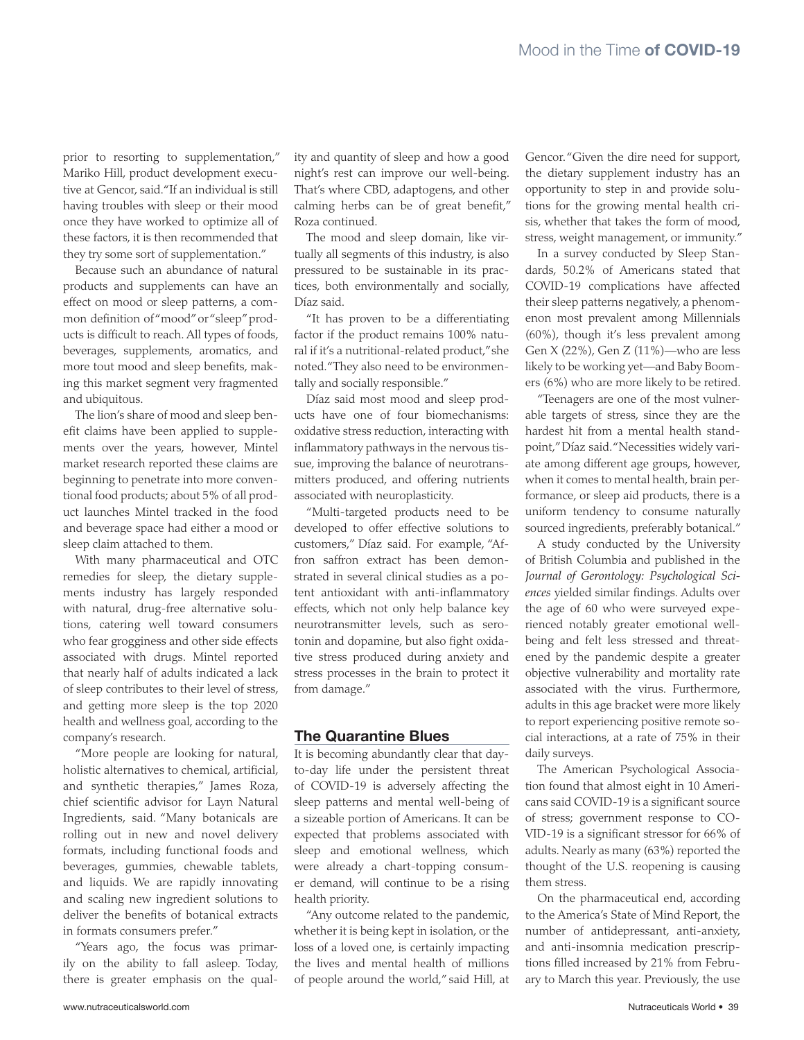prior to resorting to supplementation," Mariko Hill, product development executive at Gencor, said. "If an individual is still having troubles with sleep or their mood once they have worked to optimize all of these factors, it is then recommended that they try some sort of supplementation."

l

**A MARINA MARINA MARINA A PERSONAL A PERSONAL PROPIETA DE LA PERSONAL PERSONAL PERSONAL PERSONAL PROP** 

Because such an abundance of natural products and supplements can have an effect on mood or sleep patterns, a common definition of "mood" or "sleep" products is difficult to reach. All types of foods, beverages, supplements, aromatics, and more tout mood and sleep benefits, making this market segment very fragmented and ubiquitous.

The lion's share of mood and sleep benefit claims have been applied to supplements over the years, however, Mintel market research reported these claims are beginning to penetrate into more conventional food products; about 5% of all product launches Mintel tracked in the food and beverage space had either a mood or sleep claim attached to them.

With many pharmaceutical and OTC remedies for sleep, the dietary supplements industry has largely responded with natural, drug-free alternative solutions, catering well toward consumers who fear grogginess and other side effects associated with drugs. Mintel reported that nearly half of adults indicated a lack of sleep contributes to their level of stress, and getting more sleep is the top 2020 health and wellness goal, according to the company's research.

"More people are looking for natural, holistic alternatives to chemical, artificial, and synthetic therapies," James Roza, chief scientific advisor for Layn Natural Ingredients, said. "Many botanicals are rolling out in new and novel delivery formats, including functional foods and beverages, gummies, chewable tablets, and liquids. We are rapidly innovating and scaling new ingredient solutions to deliver the benefits of botanical extracts in formats consumers prefer."

"Years ago, the focus was primarily on the ability to fall asleep. Today, there is greater emphasis on the quality and quantity of sleep and how a good night's rest can improve our well-being. That's where CBD, adaptogens, and other calming herbs can be of great benefit," Roza continued.

The mood and sleep domain, like virtually all segments of this industry, is also pressured to be sustainable in its practices, both environmentally and socially, Díaz said.

"It has proven to be a differentiating factor if the product remains 100% natural if it's a nutritional-related product," she noted. "They also need to be environmentally and socially responsible."

Díaz said most mood and sleep products have one of four biomechanisms: oxidative stress reduction, interacting with inflammatory pathways in the nervous tissue, improving the balance of neurotransmitters produced, and offering nutrients associated with neuroplasticity.

"Multi-targeted products need to be developed to offer effective solutions to customers," Díaz said. For example, "Affron saffron extract has been demonstrated in several clinical studies as a potent antioxidant with anti-inflammatory effects, which not only help balance key neurotransmitter levels, such as serotonin and dopamine, but also fight oxidative stress produced during anxiety and stress processes in the brain to protect it from damage."

# The Quarantine Blues

It is becoming abundantly clear that dayto-day life under the persistent threat of COVID-19 is adversely affecting the sleep patterns and mental well-being of a sizeable portion of Americans. It can be expected that problems associated with sleep and emotional wellness, which were already a chart-topping consumer demand, will continue to be a rising health priority.

"Any outcome related to the pandemic, whether it is being kept in isolation, or the loss of a loved one, is certainly impacting the lives and mental health of millions of people around the world," said Hill, at

Gencor. "Given the dire need for support, the dietary supplement industry has an opportunity to step in and provide solutions for the growing mental health crisis, whether that takes the form of mood, stress, weight management, or immunity."

In a survey conducted by Sleep Standards, 50.2% of Americans stated that COVID-19 complications have affected their sleep patterns negatively, a phenomenon most prevalent among Millennials (60%), though it's less prevalent among Gen X (22%), Gen Z (11%)—who are less likely to be working yet—and Baby Boomers (6%) who are more likely to be retired.

"Teenagers are one of the most vulnerable targets of stress, since they are the hardest hit from a mental health standpoint," Díaz said. "Necessities widely variate among different age groups, however, when it comes to mental health, brain performance, or sleep aid products, there is a uniform tendency to consume naturally sourced ingredients, preferably botanical."

A study conducted by the University of British Columbia and published in the *Journal of Gerontology: Psychological Sciences* yielded similar findings. Adults over the age of 60 who were surveyed experienced notably greater emotional wellbeing and felt less stressed and threatened by the pandemic despite a greater objective vulnerability and mortality rate associated with the virus. Furthermore, adults in this age bracket were more likely to report experiencing positive remote social interactions, at a rate of 75% in their daily surveys.

The American Psychological Association found that almost eight in 10 Americans said COVID-19 is a significant source of stress; government response to CO-VID-19 is a significant stressor for 66% of adults. Nearly as many (63%) reported the thought of the U.S. reopening is causing them stress.

On the pharmaceutical end, according to the America's State of Mind Report, the number of antidepressant, anti-anxiety, and anti-insomnia medication prescriptions filled increased by 21% from February to March this year. Previously, the use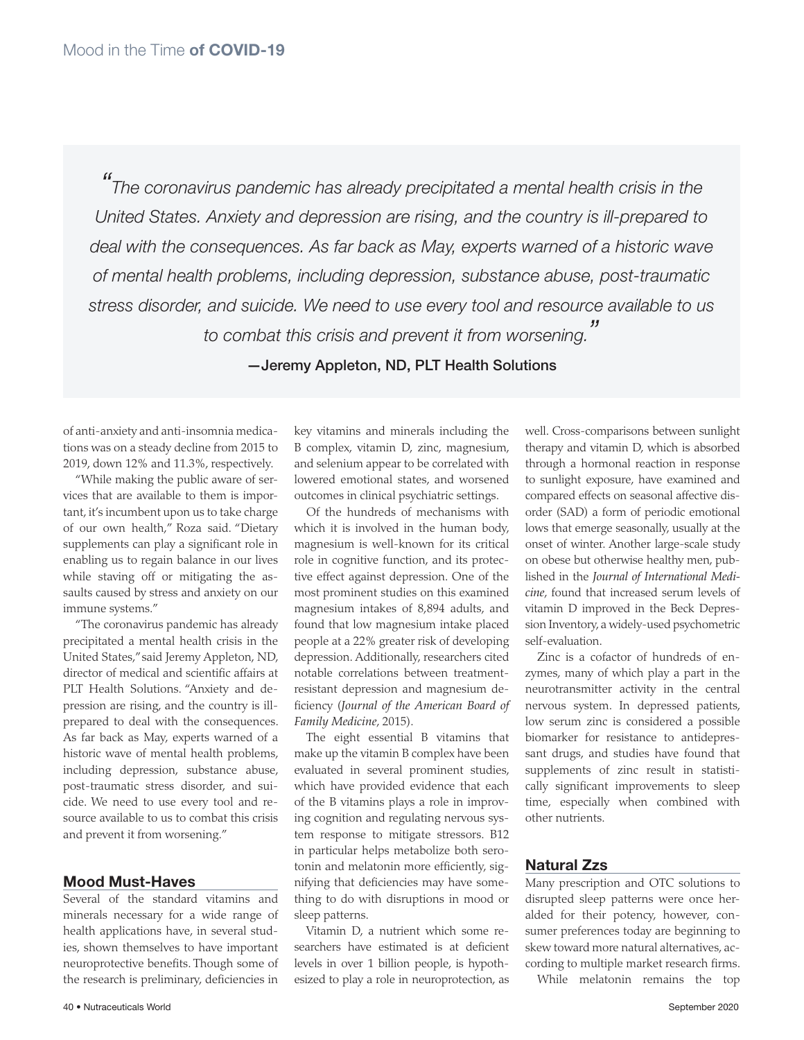*" The coronavirus pandemic has already precipitated a mental health crisis in the United States. Anxiety and depression are rising, and the country is ill-prepared to deal with the consequences. As far back as May, experts warned of a historic wave of mental health problems, including depression, substance abuse, post-traumatic stress disorder, and suicide. We need to use every tool and resource available to us to combat this crisis and prevent it from worsening. "* 

—Jeremy Appleton, ND, PLT Health Solutions

of anti-anxiety and anti-insomnia medications was on a steady decline from 2015 to 2019, down 12% and 11.3%, respectively.

"While making the public aware of services that are available to them is important, it's incumbent upon us to take charge of our own health," Roza said. "Dietary supplements can play a significant role in enabling us to regain balance in our lives while staving off or mitigating the assaults caused by stress and anxiety on our immune systems."

"The coronavirus pandemic has already precipitated a mental health crisis in the United States," said Jeremy Appleton, ND, director of medical and scientific affairs at PLT Health Solutions. "Anxiety and depression are rising, and the country is illprepared to deal with the consequences. As far back as May, experts warned of a historic wave of mental health problems, including depression, substance abuse, post-traumatic stress disorder, and suicide. We need to use every tool and resource available to us to combat this crisis and prevent it from worsening."

### Mood Must-Haves

Several of the standard vitamins and minerals necessary for a wide range of health applications have, in several studies, shown themselves to have important neuroprotective benefits. Though some of the research is preliminary, deficiencies in

key vitamins and minerals including the B complex, vitamin D, zinc, magnesium, and selenium appear to be correlated with lowered emotional states, and worsened outcomes in clinical psychiatric settings.

Of the hundreds of mechanisms with which it is involved in the human body, magnesium is well-known for its critical role in cognitive function, and its protective effect against depression. One of the most prominent studies on this examined magnesium intakes of 8,894 adults, and found that low magnesium intake placed people at a 22% greater risk of developing depression. Additionally, researchers cited notable correlations between treatmentresistant depression and magnesium deficiency (*Journal of the American Board of Family Medicine*, 2015).

The eight essential B vitamins that make up the vitamin B complex have been evaluated in several prominent studies, which have provided evidence that each of the B vitamins plays a role in improving cognition and regulating nervous system response to mitigate stressors. B12 in particular helps metabolize both serotonin and melatonin more efficiently, signifying that deficiencies may have something to do with disruptions in mood or sleep patterns.

Vitamin D, a nutrient which some researchers have estimated is at deficient levels in over 1 billion people, is hypothesized to play a role in neuroprotection, as well. Cross-comparisons between sunlight therapy and vitamin D, which is absorbed through a hormonal reaction in response to sunlight exposure, have examined and compared effects on seasonal affective disorder (SAD) a form of periodic emotional lows that emerge seasonally, usually at the onset of winter. Another large-scale study on obese but otherwise healthy men, published in the *Journal of International Medicine*, found that increased serum levels of vitamin D improved in the Beck Depression Inventory, a widely-used psychometric self-evaluation.

Zinc is a cofactor of hundreds of enzymes, many of which play a part in the neurotransmitter activity in the central nervous system. In depressed patients, low serum zinc is considered a possible biomarker for resistance to antidepressant drugs, and studies have found that supplements of zinc result in statistically significant improvements to sleep time, especially when combined with other nutrients.

## Natural Zzs

Many prescription and OTC solutions to disrupted sleep patterns were once heralded for their potency, however, consumer preferences today are beginning to skew toward more natural alternatives, according to multiple market research firms.

While melatonin remains the top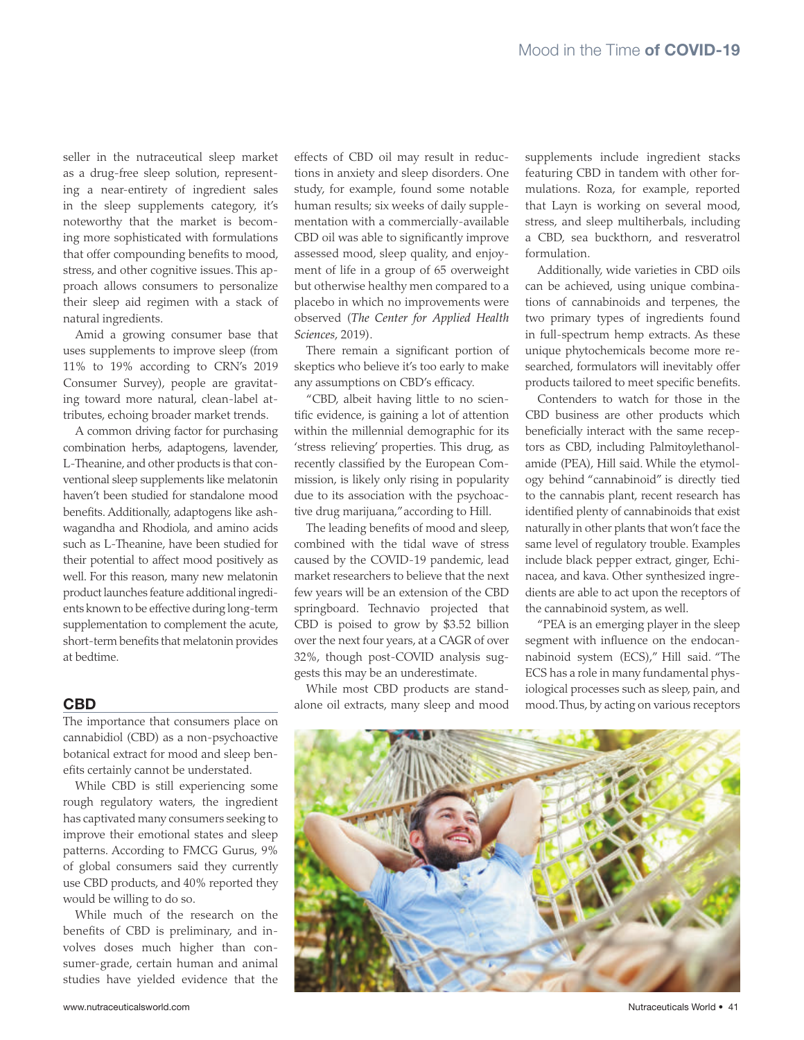seller in the nutraceutical sleep market as a drug-free sleep solution, representing a near-entirety of ingredient sales in the sleep supplements category, it's noteworthy that the market is becoming more sophisticated with formulations that offer compounding benefits to mood, stress, and other cognitive issues. This approach allows consumers to personalize their sleep aid regimen with a stack of natural ingredients.

Amid a growing consumer base that uses supplements to improve sleep (from 11% to 19% according to CRN's 2019 Consumer Survey), people are gravitating toward more natural, clean-label attributes, echoing broader market trends.

A common driving factor for purchasing combination herbs, adaptogens, lavender, L-Theanine, and other products is that conventional sleep supplements like melatonin haven't been studied for standalone mood benefits. Additionally, adaptogens like ashwagandha and Rhodiola, and amino acids such as L-Theanine, have been studied for their potential to affect mood positively as well. For this reason, many new melatonin product launches feature additional ingredients known to be effective during long-term supplementation to complement the acute, short-term benefits that melatonin provides at bedtime.

#### CBD

The importance that consumers place on cannabidiol (CBD) as a non-psychoactive botanical extract for mood and sleep benefits certainly cannot be understated.

While CBD is still experiencing some rough regulatory waters, the ingredient has captivated many consumers seeking to improve their emotional states and sleep patterns. According to FMCG Gurus, 9% of global consumers said they currently use CBD products, and 40% reported they would be willing to do so.

While much of the research on the benefits of CBD is preliminary, and involves doses much higher than consumer-grade, certain human and animal studies have yielded evidence that the

effects of CBD oil may result in reductions in anxiety and sleep disorders. One study, for example, found some notable human results; six weeks of daily supplementation with a commercially-available CBD oil was able to significantly improve assessed mood, sleep quality, and enjoyment of life in a group of 65 overweight but otherwise healthy men compared to a placebo in which no improvements were observed (*The Center for Applied Health Sciences*, 2019).

There remain a significant portion of skeptics who believe it's too early to make any assumptions on CBD's efficacy.

"CBD, albeit having little to no scientific evidence, is gaining a lot of attention within the millennial demographic for its 'stress relieving' properties. This drug, as recently classified by the European Commission, is likely only rising in popularity due to its association with the psychoactive drug marijuana," according to Hill.

The leading benefits of mood and sleep, combined with the tidal wave of stress caused by the COVID-19 pandemic, lead market researchers to believe that the next few years will be an extension of the CBD springboard. Technavio projected that CBD is poised to grow by \$3.52 billion over the next four years, at a CAGR of over 32%, though post-COVID analysis suggests this may be an underestimate.

While most CBD products are standalone oil extracts, many sleep and mood supplements include ingredient stacks featuring CBD in tandem with other formulations. Roza, for example, reported that Layn is working on several mood, stress, and sleep multiherbals, including a CBD, sea buckthorn, and resveratrol formulation.

Additionally, wide varieties in CBD oils can be achieved, using unique combinations of cannabinoids and terpenes, the two primary types of ingredients found in full-spectrum hemp extracts. As these unique phytochemicals become more researched, formulators will inevitably offer products tailored to meet specific benefits.

Contenders to watch for those in the CBD business are other products which beneficially interact with the same receptors as CBD, including Palmitoylethanolamide (PEA), Hill said. While the etymology behind "cannabinoid" is directly tied to the cannabis plant, recent research has identified plenty of cannabinoids that exist naturally in other plants that won't face the same level of regulatory trouble. Examples include black pepper extract, ginger, Echinacea, and kava. Other synthesized ingredients are able to act upon the receptors of the cannabinoid system, as well.

"PEA is an emerging player in the sleep segment with influence on the endocannabinoid system (ECS)," Hill said. "The ECS has a role in many fundamental physiological processes such as sleep, pain, and mood. Thus, by acting on various receptors

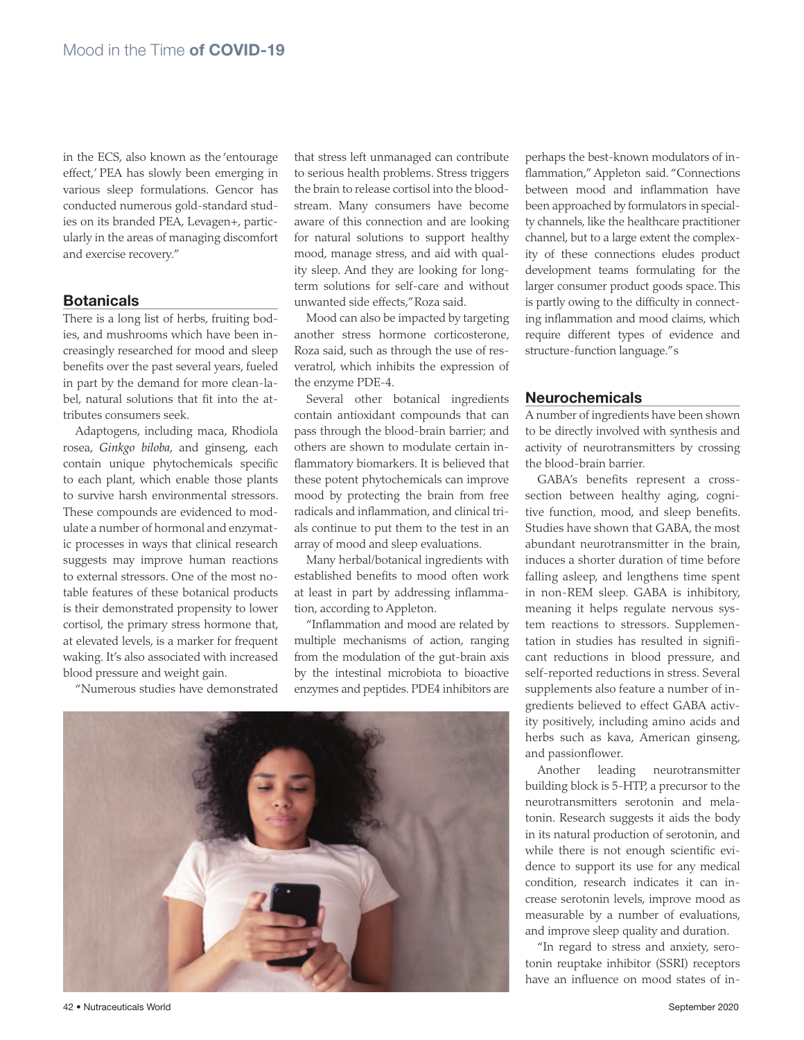in the ECS, also known as the 'entourage effect,' PEA has slowly been emerging in various sleep formulations. Gencor has conducted numerous gold-standard studies on its branded PEA, Levagen+, particularly in the areas of managing discomfort and exercise recovery."

#### **Botanicals**

There is a long list of herbs, fruiting bodies, and mushrooms which have been increasingly researched for mood and sleep benefits over the past several years, fueled in part by the demand for more clean-label, natural solutions that fit into the attributes consumers seek.

Adaptogens, including maca, Rhodiola rosea, *Ginkgo biloba*, and ginseng, each contain unique phytochemicals specific to each plant, which enable those plants to survive harsh environmental stressors. These compounds are evidenced to modulate a number of hormonal and enzymatic processes in ways that clinical research suggests may improve human reactions to external stressors. One of the most notable features of these botanical products is their demonstrated propensity to lower cortisol, the primary stress hormone that, at elevated levels, is a marker for frequent waking. It's also associated with increased blood pressure and weight gain.

"Numerous studies have demonstrated

that stress left unmanaged can contribute to serious health problems. Stress triggers the brain to release cortisol into the bloodstream. Many consumers have become aware of this connection and are looking for natural solutions to support healthy mood, manage stress, and aid with quality sleep. And they are looking for longterm solutions for self-care and without unwanted side effects," Roza said.

Mood can also be impacted by targeting another stress hormone corticosterone, Roza said, such as through the use of resveratrol, which inhibits the expression of the enzyme PDE-4.

Several other botanical ingredients contain antioxidant compounds that can pass through the blood-brain barrier; and others are shown to modulate certain inflammatory biomarkers. It is believed that these potent phytochemicals can improve mood by protecting the brain from free radicals and inflammation, and clinical trials continue to put them to the test in an array of mood and sleep evaluations.

Many herbal/botanical ingredients with established benefits to mood often work at least in part by addressing inflammation, according to Appleton.

"Inflammation and mood are related by multiple mechanisms of action, ranging from the modulation of the gut-brain axis by the intestinal microbiota to bioactive enzymes and peptides. PDE4 inhibitors are



perhaps the best-known modulators of inflammation," Appleton said. "Connections between mood and inflammation have been approached by formulators in specialty channels, like the healthcare practitioner channel, but to a large extent the complexity of these connections eludes product development teams formulating for the larger consumer product goods space. This is partly owing to the difficulty in connecting inflammation and mood claims, which require different types of evidence and structure-function language." s

#### Neurochemicals

A number of ingredients have been shown to be directly involved with synthesis and activity of neurotransmitters by crossing the blood-brain barrier.

GABA's benefits represent a crosssection between healthy aging, cognitive function, mood, and sleep benefits. Studies have shown that GABA, the most abundant neurotransmitter in the brain, induces a shorter duration of time before falling asleep, and lengthens time spent in non-REM sleep. GABA is inhibitory, meaning it helps regulate nervous system reactions to stressors. Supplementation in studies has resulted in significant reductions in blood pressure, and self-reported reductions in stress. Several supplements also feature a number of ingredients believed to effect GABA activity positively, including amino acids and herbs such as kava, American ginseng, and passionflower.

Another leading neurotransmitter building block is 5-HTP, a precursor to the neurotransmitters serotonin and melatonin. Research suggests it aids the body in its natural production of serotonin, and while there is not enough scientific evidence to support its use for any medical condition, research indicates it can increase serotonin levels, improve mood as measurable by a number of evaluations, and improve sleep quality and duration.

"In regard to stress and anxiety, serotonin reuptake inhibitor (SSRI) receptors have an influence on mood states of in